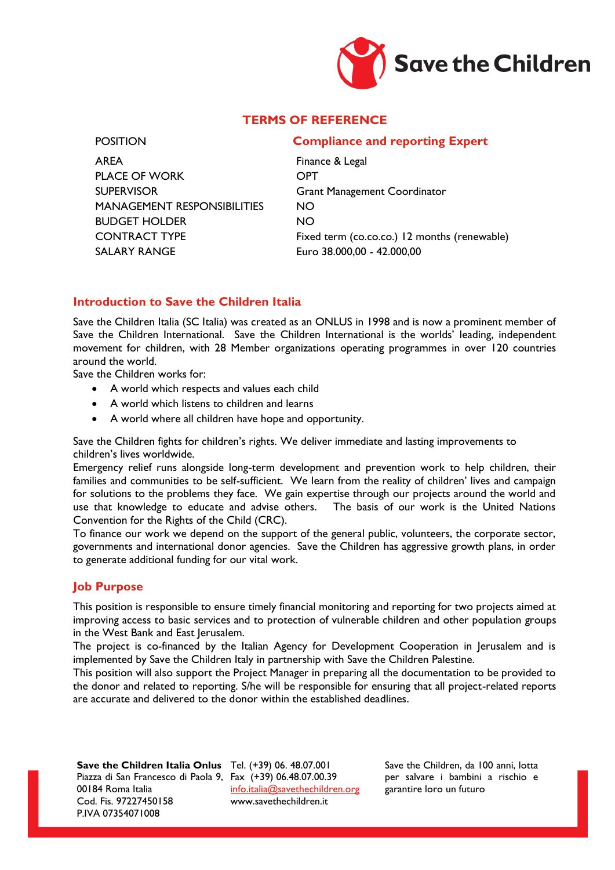

# **TERMS OF REFERENCE**

AREA Finance & Legal PLACE OF WORK OPT SUPERVISOR Grant Management Coordinator MANAGEMENT RESPONSIBILITIES NO BUDGET HOLDER NO SALARY RANGE Euro 38.000,00 - 42.000,00

## POSITION **Compliance and reporting Expert**

CONTRACT TYPE Fixed term (co.co.co.) 12 months (renewable)

## **Introduction to Save the Children Italia**

Save the Children Italia (SC Italia) was created as an ONLUS in 1998 and is now a prominent member of Save the Children International. Save the Children International is the worlds' leading, independent movement for children, with 28 Member organizations operating programmes in over 120 countries around the world.

Save the Children works for:

- A world which respects and values each child
- A world which listens to children and learns
- A world where all children have hope and opportunity.

Save the Children fights for children's rights. We deliver immediate and lasting improvements to children's lives worldwide.

Emergency relief runs alongside long-term development and prevention work to help children, their families and communities to be self-sufficient. We learn from the reality of children' lives and campaign for solutions to the problems they face. We gain expertise through our projects around the world and use that knowledge to educate and advise others. The basis of our work is the United Nations Convention for the Rights of the Child (CRC).

To finance our work we depend on the support of the general public, volunteers, the corporate sector, governments and international donor agencies. Save the Children has aggressive growth plans, in order to generate additional funding for our vital work.

#### **Job Purpose**

This position is responsible to ensure timely financial monitoring and reporting for two projects aimed at improving access to basic services and to protection of vulnerable children and other population groups in the West Bank and East Jerusalem.

The project is co-financed by the Italian Agency for Development Cooperation in Jerusalem and is implemented by Save the Children Italy in partnership with Save the Children Palestine.

This position will also support the Project Manager in preparing all the documentation to be provided to the donor and related to reporting. S/he will be responsible for ensuring that all project-related reports are accurate and delivered to the donor within the established deadlines.

**Save the Children Italia Onlus** Tel. (+39) 06. 48.07.001 Piazza di San Francesco di Paola 9, Fax (+39) 06.48.07.00.39 00184 Roma Italia Cod. Fis. 97227450158 P.IVA 07354071008

[info.italia@savethechildren.org](mailto:info.italia@savethechildren.org) www.savethechildren.it

Save the Children, da 100 anni, lotta per salvare i bambini a rischio e garantire loro un futuro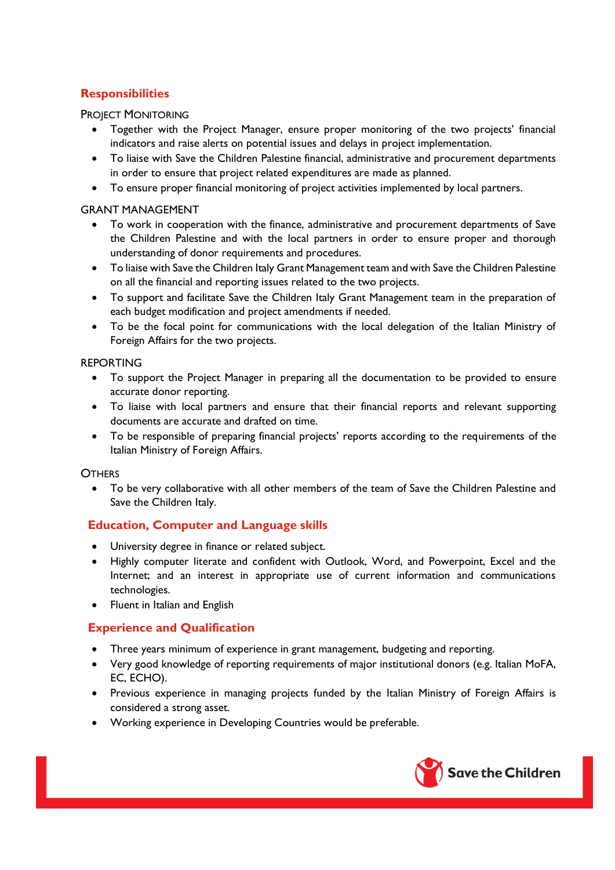# **Responsibilities**

PROJECT MONITORING

- Together with the Project Manager, ensure proper monitoring of the two projects' financial indicators and raise alerts on potential issues and delays in project implementation.
- To liaise with Save the Children Palestine financial, administrative and procurement departments in order to ensure that project related expenditures are made as planned.
- To ensure proper financial monitoring of project activities implemented by local partners.

#### GRANT MANAGEMENT

- To work in cooperation with the finance, administrative and procurement departments of Save the Children Palestine and with the local partners in order to ensure proper and thorough understanding of donor requirements and procedures.
- To liaise with Save the Children Italy Grant Management team and with Save the Children Palestine on all the financial and reporting issues related to the two projects.
- To support and facilitate Save the Children Italy Grant Management team in the preparation of each budget modification and project amendments if needed.
- To be the focal point for communications with the local delegation of the Italian Ministry of Foreign Affairs for the two projects.

## REPORTING

- To support the Project Manager in preparing all the documentation to be provided to ensure accurate donor reporting.
- To liaise with local partners and ensure that their financial reports and relevant supporting documents are accurate and drafted on time.
- To be responsible of preparing financial projects' reports according to the requirements of the Italian Ministry of Foreign Affairs.

#### **OTHERS**

 To be very collaborative with all other members of the team of Save the Children Palestine and Save the Children Italy.

# **Education, Computer and Language skills**

- University degree in finance or related subject.
- Highly computer literate and confident with Outlook, Word, and Powerpoint, Excel and the Internet; and an interest in appropriate use of current information and communications technologies.
- Fluent in Italian and English

# **Experience and Qualification**

- Three years minimum of experience in grant management, budgeting and reporting.
- Very good knowledge of reporting requirements of major institutional donors (e.g. Italian MoFA, EC, ECHO).
- Previous experience in managing projects funded by the Italian Ministry of Foreign Affairs is considered a strong asset.
- Working experience in Developing Countries would be preferable.